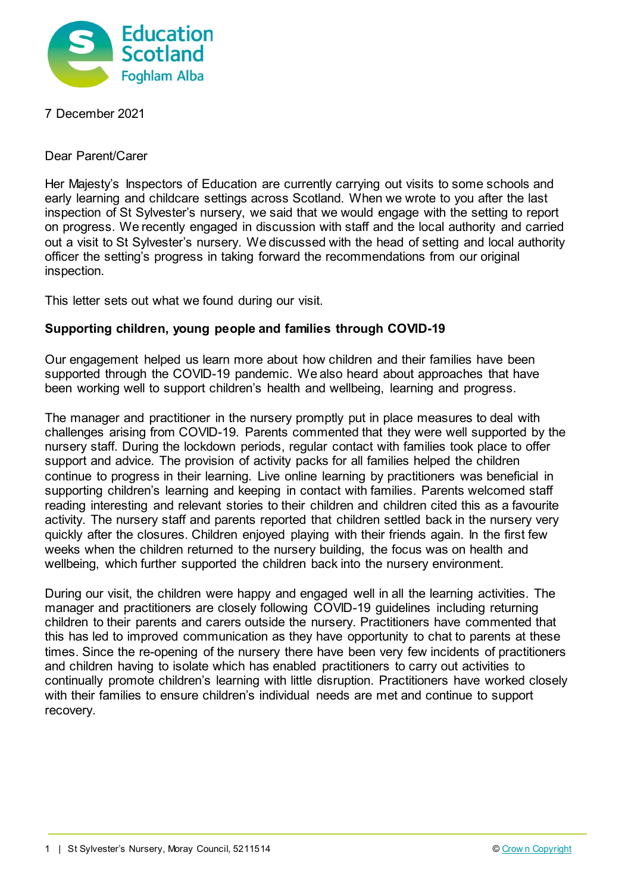

7 December 2021

Dear Parent/Carer

Her Majesty's Inspectors of Education are currently carrying out visits to some schools and early learning and childcare settings across Scotland. When we wrote to you after the last inspection of St Sylvester's nursery, we said that we would engage with the setting to report on progress. We recently engaged in discussion with staff and the local authority and carried out a visit to St Sylvester's nursery. We discussed with the head of setting and local authority officer the setting's progress in taking forward the recommendations from our original inspection.

This letter sets out what we found during our visit.

## **Supporting children, young people and families through COVID-19**

Our engagement helped us learn more about how children and their families have been supported through the COVID-19 pandemic. We also heard about approaches that have been working well to support children's health and wellbeing, learning and progress.

The manager and practitioner in the nursery promptly put in place measures to deal with challenges arising from COVID-19. Parents commented that they were well supported by the nursery staff. During the lockdown periods, regular contact with families took place to offer support and advice. The provision of activity packs for all families helped the children continue to progress in their learning. Live online learning by practitioners was beneficial in supporting children's learning and keeping in contact with families. Parents welcomed staff reading interesting and relevant stories to their children and children cited this as a favourite activity. The nursery staff and parents reported that children settled back in the nursery very quickly after the closures. Children enjoyed playing with their friends again. In the first few weeks when the children returned to the nursery building, the focus was on health and wellbeing, which further supported the children back into the nursery environment.

During our visit, the children were happy and engaged well in all the learning activities. The manager and practitioners are closely following COVID-19 guidelines including returning children to their parents and carers outside the nursery. Practitioners have commented that this has led to improved communication as they have opportunity to chat to parents at these times. Since the re-opening of the nursery there have been very few incidents of practitioners and children having to isolate which has enabled practitioners to carry out activities to continually promote children's learning with little disruption. Practitioners have worked closely with their families to ensure children's individual needs are met and continue to support recovery.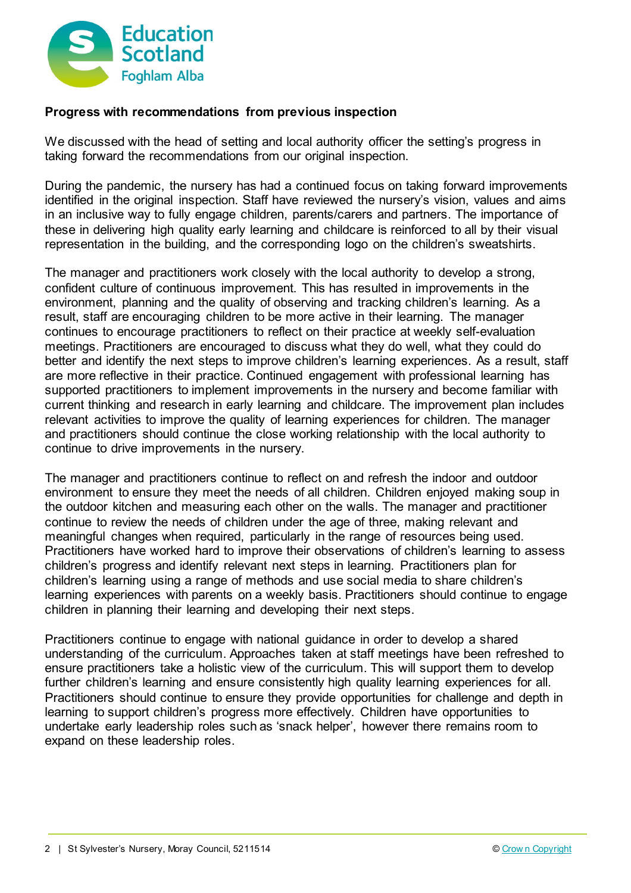

## **Progress with recommendations from previous inspection**

We discussed with the head of setting and local authority officer the setting's progress in taking forward the recommendations from our original inspection.

During the pandemic, the nursery has had a continued focus on taking forward improvements identified in the original inspection. Staff have reviewed the nursery's vision, values and aims in an inclusive way to fully engage children, parents/carers and partners. The importance of these in delivering high quality early learning and childcare is reinforced to all by their visual representation in the building, and the corresponding logo on the children's sweatshirts.

The manager and practitioners work closely with the local authority to develop a strong, confident culture of continuous improvement. This has resulted in improvements in the environment, planning and the quality of observing and tracking children's learning. As a result, staff are encouraging children to be more active in their learning. The manager continues to encourage practitioners to reflect on their practice at weekly self-evaluation meetings. Practitioners are encouraged to discuss what they do well, what they could do better and identify the next steps to improve children's learning experiences. As a result, staff are more reflective in their practice. Continued engagement with professional learning has supported practitioners to implement improvements in the nursery and become familiar with current thinking and research in early learning and childcare. The improvement plan includes relevant activities to improve the quality of learning experiences for children. The manager and practitioners should continue the close working relationship with the local authority to continue to drive improvements in the nursery.

The manager and practitioners continue to reflect on and refresh the indoor and outdoor environment to ensure they meet the needs of all children. Children enjoyed making soup in the outdoor kitchen and measuring each other on the walls. The manager and practitioner continue to review the needs of children under the age of three, making relevant and meaningful changes when required, particularly in the range of resources being used. Practitioners have worked hard to improve their observations of children's learning to assess children's progress and identify relevant next steps in learning. Practitioners plan for children's learning using a range of methods and use social media to share children's learning experiences with parents on a weekly basis. Practitioners should continue to engage children in planning their learning and developing their next steps.

Practitioners continue to engage with national guidance in order to develop a shared understanding of the curriculum. Approaches taken at staff meetings have been refreshed to ensure practitioners take a holistic view of the curriculum. This will support them to develop further children's learning and ensure consistently high quality learning experiences for all. Practitioners should continue to ensure they provide opportunities for challenge and depth in learning to support children's progress more effectively. Children have opportunities to undertake early leadership roles such as 'snack helper', however there remains room to expand on these leadership roles.